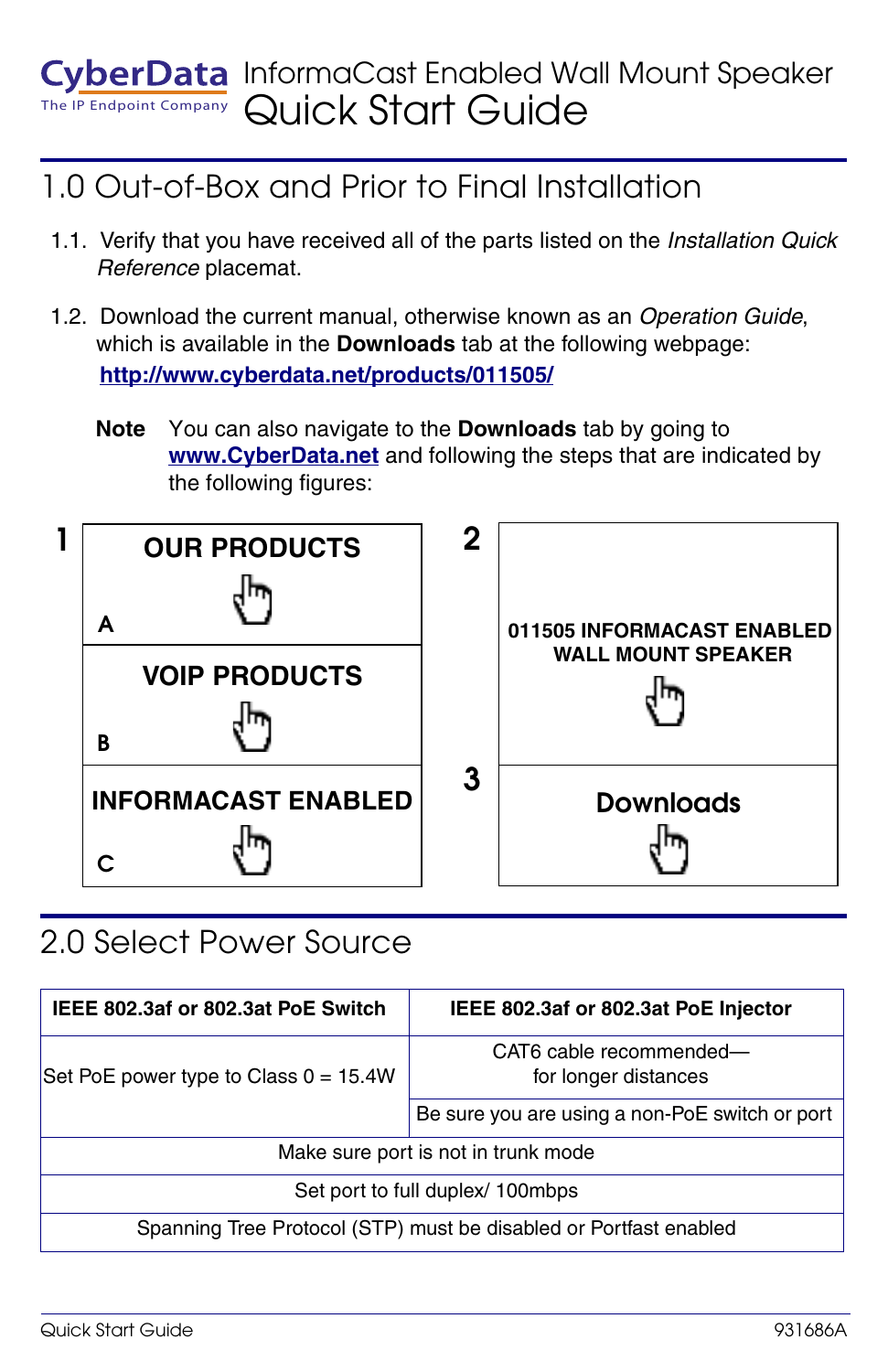#### The IP Endpoint Company InformaCast Enabled Wall Mount Speaker Quick Start Guide

## 1.0 Out-of-Box and Prior to Final Installation

- 1.1. Verify that you have received all of the parts listed on the *Installation Quick Reference* placemat.
- 1.2. Download the current manual, otherwise known as an *Operation Guide*, which is available in the **Downloads** tab at the following webpage: **<http://www.cyberdata.net/products/011505/>**
	- **Note** You can also navigate to the **Downloads** tab by going to **<www.CyberData.net>** and following the steps that are indicated by the following figures:



### 2.0 Select Power Source

| IEEE 802.3af or 802.3at PoE Switch                                | IEEE 802.3af or 802.3at PoE Injector            |
|-------------------------------------------------------------------|-------------------------------------------------|
| Set PoE power type to Class $0 = 15.4W$                           | CAT6 cable recommended-<br>for longer distances |
|                                                                   | Be sure you are using a non-PoE switch or port  |
| Make sure port is not in trunk mode                               |                                                 |
| Set port to full duplex/ 100mbps                                  |                                                 |
| Spanning Tree Protocol (STP) must be disabled or Portfast enabled |                                                 |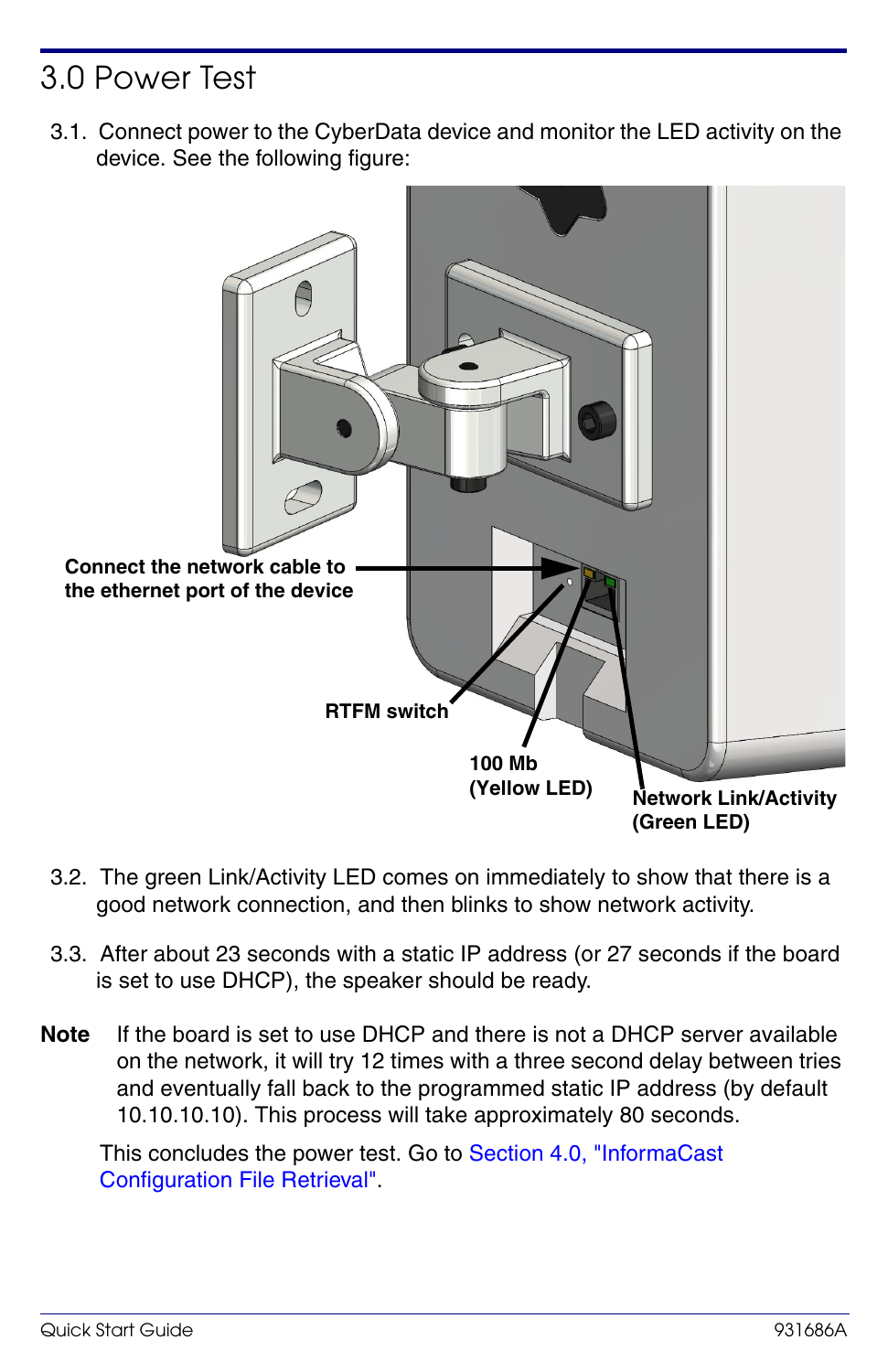## 3.0 Power Test

3.1. Connect power to the CyberData device and monitor the LED activity on the device. See the following figure:



- 3.2. The green Link/Activity LED comes on immediately to show that there is a good network connection, and then blinks to show network activity.
- 3.3. After about 23 seconds with a static IP address (or 27 seconds if the board is set to use DHCP), the speaker should be ready.
- **Note** If the board is set to use DHCP and there is not a DHCP server available on the network, it will try 12 times with a three second delay between tries and eventually fall back to the programmed static IP address (by default 10.10.10.10). This process will take approximately 80 seconds.

This concludes the power test. Go to [Section 4.0, "InformaCast](#page-2-0)  [Configuration File Retrieval"](#page-2-0).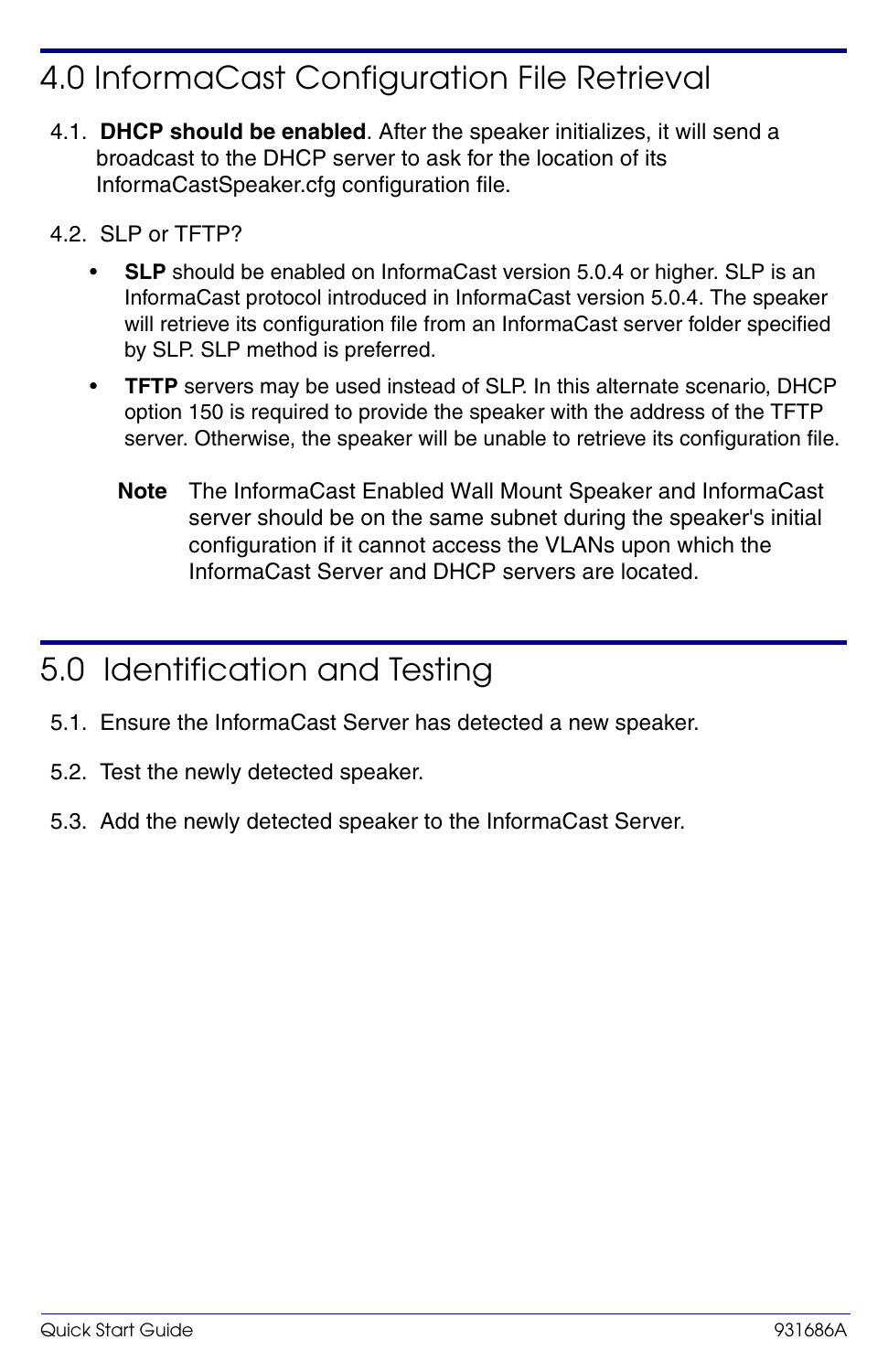## <span id="page-2-0"></span>4.0 InformaCast Configuration File Retrieval

- 4.1. **DHCP should be enabled**. After the speaker initializes, it will send a broadcast to the DHCP server to ask for the location of its InformaCastSpeaker.cfg configuration file.
- 4.2. SLP or TFTP?
	- **SLP** should be enabled on InformaCast version 5.0.4 or higher. SLP is an InformaCast protocol introduced in InformaCast version 5.0.4. The speaker will retrieve its configuration file from an InformaCast server folder specified by SLP. SLP method is preferred.
	- **TFTP** servers may be used instead of SLP. In this alternate scenario, DHCP option 150 is required to provide the speaker with the address of the TFTP server. Otherwise, the speaker will be unable to retrieve its configuration file.
		- **Note** The InformaCast Enabled Wall Mount Speaker and InformaCast server should be on the same subnet during the speaker's initial configuration if it cannot access the VLANs upon which the InformaCast Server and DHCP servers are located.

#### 5.0 Identification and Testing

- 5.1. Ensure the InformaCast Server has detected a new speaker.
- 5.2. Test the newly detected speaker.
- 5.3. Add the newly detected speaker to the InformaCast Server.